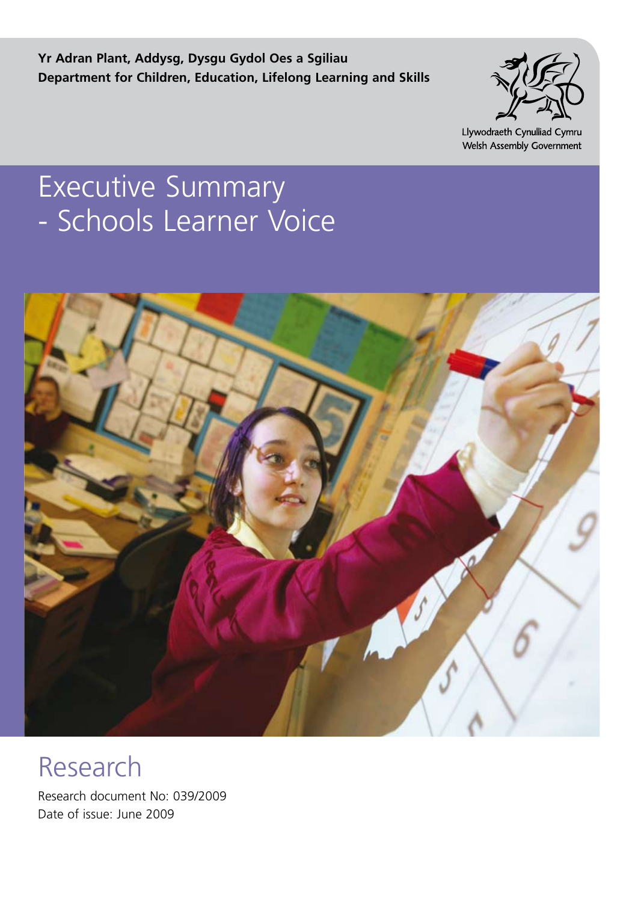**Yr Adran Plant, Addysg, Dysgu Gydol Oes a Sgiliau Department for Children, Education, Lifelong Learning and Skills**



Llywodraeth Cynulliad Cymru Welsh Assembly Government

# Executive Summary - Schools Learner Voice



Research

Research document No: 039/2009 Date of issue: June 2009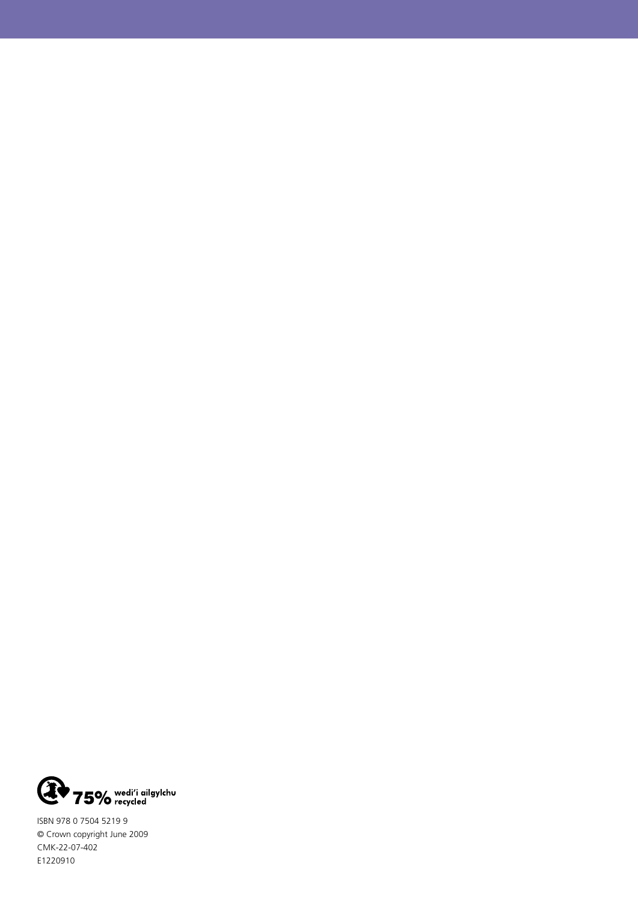

ISBN 978 0 7504 5219 9 © Crown copyright June 2009 CMK-22-07-402 E1220910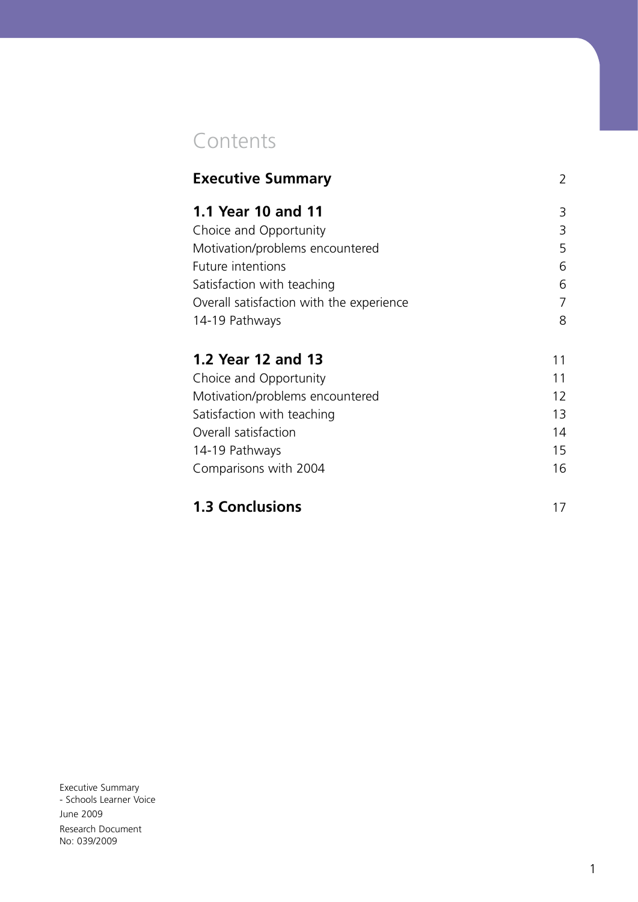## Contents

| <b>Executive Summary</b>                 | 2  |
|------------------------------------------|----|
| <b>1.1 Year 10 and 11</b>                | 3  |
| Choice and Opportunity                   | 3  |
| Motivation/problems encountered          | 5  |
| Future intentions                        | 6  |
| Satisfaction with teaching               | 6  |
| Overall satisfaction with the experience | 7  |
| 14-19 Pathways                           | 8  |
| 1.2 Year 12 and 13                       | 11 |
| Choice and Opportunity                   | 11 |
| Motivation/problems encountered          | 12 |
| Satisfaction with teaching               | 13 |
| Overall satisfaction                     | 14 |
| 14-19 Pathways                           | 15 |
| Comparisons with 2004                    | 16 |
|                                          |    |

### **1.3 Conclusions** 17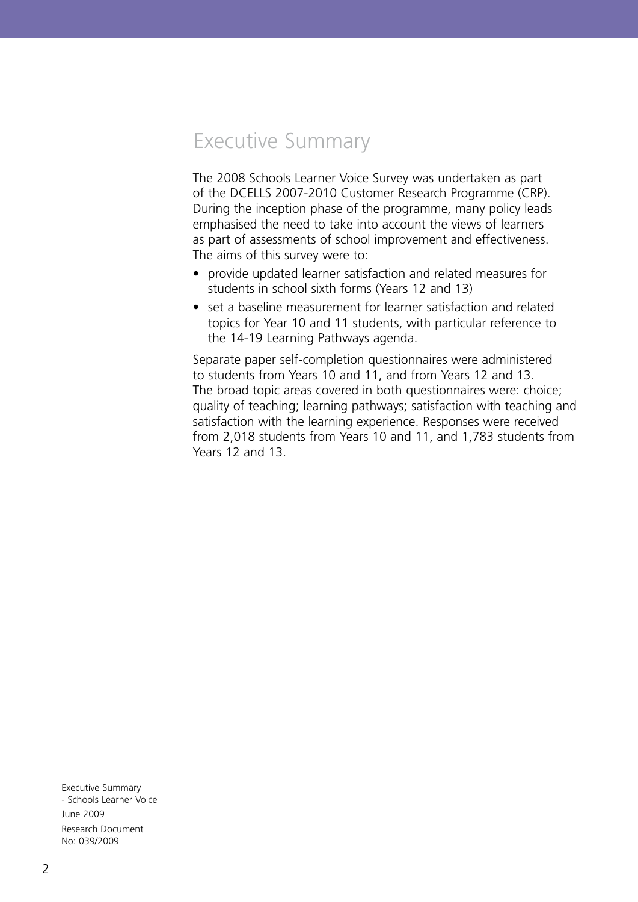## Executive Summary

The 2008 Schools Learner Voice Survey was undertaken as part of the DCELLS 2007-2010 Customer Research Programme (CRP). During the inception phase of the programme, many policy leads emphasised the need to take into account the views of learners as part of assessments of school improvement and effectiveness. The aims of this survey were to:

- provide updated learner satisfaction and related measures for students in school sixth forms (Years 12 and 13)
- set a baseline measurement for learner satisfaction and related topics for Year 10 and 11 students, with particular reference to the 14-19 Learning Pathways agenda.

Separate paper self-completion questionnaires were administered to students from Years 10 and 11, and from Years 12 and 13. The broad topic areas covered in both questionnaires were: choice; quality of teaching; learning pathways; satisfaction with teaching and satisfaction with the learning experience. Responses were received from 2,018 students from Years 10 and 11, and 1,783 students from Years 12 and 13.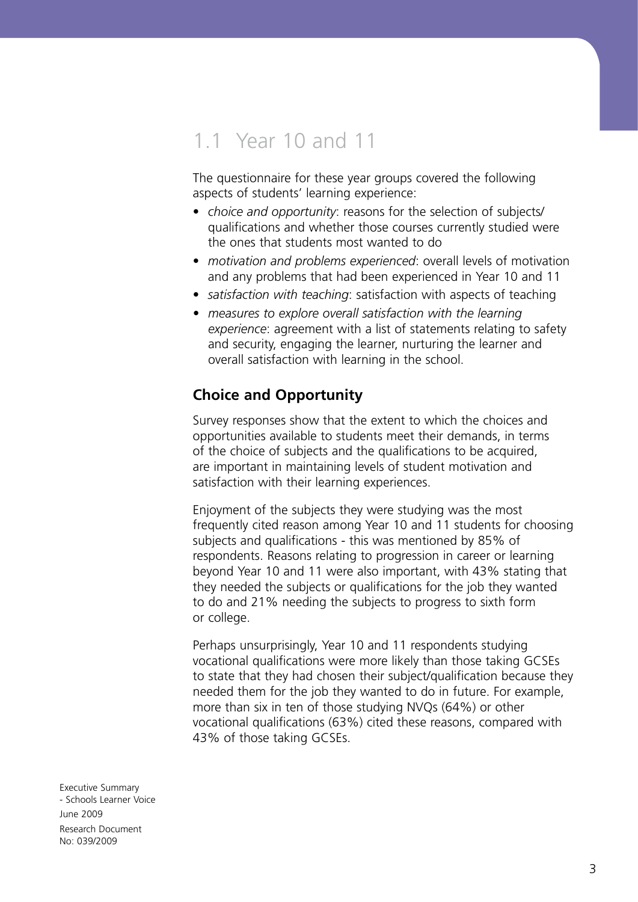## 1.1 Year 10 and 11

The questionnaire for these year groups covered the following aspects of students' learning experience:

- *choice and opportunity*: reasons for the selection of subjects/ qualifications and whether those courses currently studied were the ones that students most wanted to do
- *motivation and problems experienced*: overall levels of motivation and any problems that had been experienced in Year 10 and 11
- *satisfaction with teaching*: satisfaction with aspects of teaching
- *measures to explore overall satisfaction with the learning experience*: agreement with a list of statements relating to safety and security, engaging the learner, nurturing the learner and overall satisfaction with learning in the school.

#### **Choice and Opportunity**

Survey responses show that the extent to which the choices and opportunities available to students meet their demands, in terms of the choice of subjects and the qualifications to be acquired, are important in maintaining levels of student motivation and satisfaction with their learning experiences.

Enjoyment of the subjects they were studying was the most frequently cited reason among Year 10 and 11 students for choosing subjects and qualifications - this was mentioned by 85% of respondents. Reasons relating to progression in career or learning beyond Year 10 and 11 were also important, with 43% stating that they needed the subjects or qualifications for the job they wanted to do and 21% needing the subjects to progress to sixth form or college.

Perhaps unsurprisingly, Year 10 and 11 respondents studying vocational qualifications were more likely than those taking GCSEs to state that they had chosen their subject/qualification because they needed them for the job they wanted to do in future. For example, more than six in ten of those studying NVQs (64%) or other vocational qualifications (63%) cited these reasons, compared with 43% of those taking GCSEs.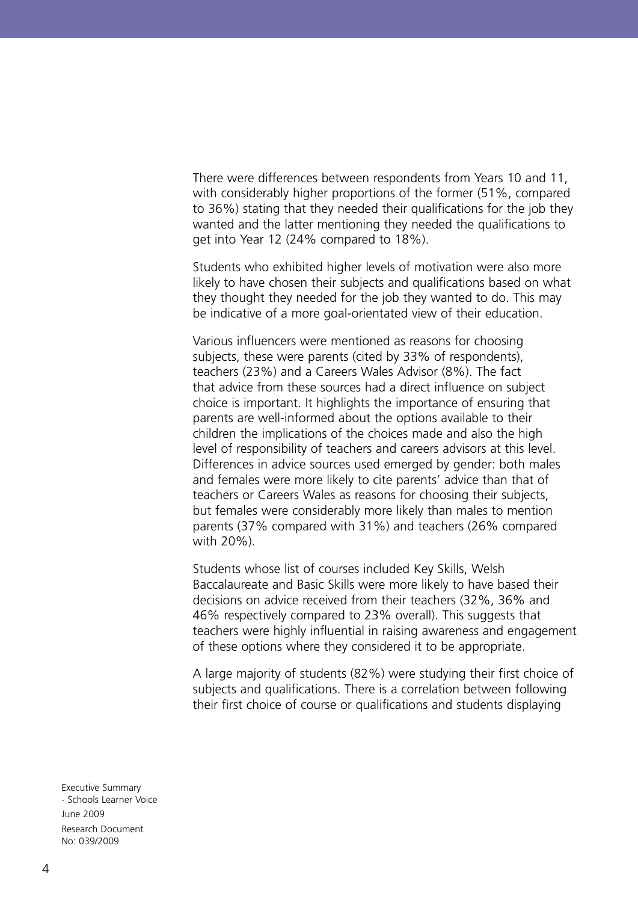There were differences between respondents from Years 10 and 11, with considerably higher proportions of the former (51%, compared to 36%) stating that they needed their qualifications for the job they wanted and the latter mentioning they needed the qualifications to get into Year 12 (24% compared to 18%).

Students who exhibited higher levels of motivation were also more likely to have chosen their subjects and qualifications based on what they thought they needed for the job they wanted to do. This may be indicative of a more goal-orientated view of their education.

Various influencers were mentioned as reasons for choosing subjects, these were parents (cited by 33% of respondents), teachers (23%) and a Careers Wales Advisor (8%). The fact that advice from these sources had a direct influence on subject choice is important. It highlights the importance of ensuring that parents are well-informed about the options available to their children the implications of the choices made and also the high level of responsibility of teachers and careers advisors at this level. Differences in advice sources used emerged by gender: both males and females were more likely to cite parents' advice than that of teachers or Careers Wales as reasons for choosing their subjects, but females were considerably more likely than males to mention parents (37% compared with 31%) and teachers (26% compared with 20%).

Students whose list of courses included Key Skills, Welsh Baccalaureate and Basic Skills were more likely to have based their decisions on advice received from their teachers (32%, 36% and 46% respectively compared to 23% overall). This suggests that teachers were highly influential in raising awareness and engagement of these options where they considered it to be appropriate.

A large majority of students (82%) were studying their first choice of subjects and qualifications. There is a correlation between following their first choice of course or qualifications and students displaying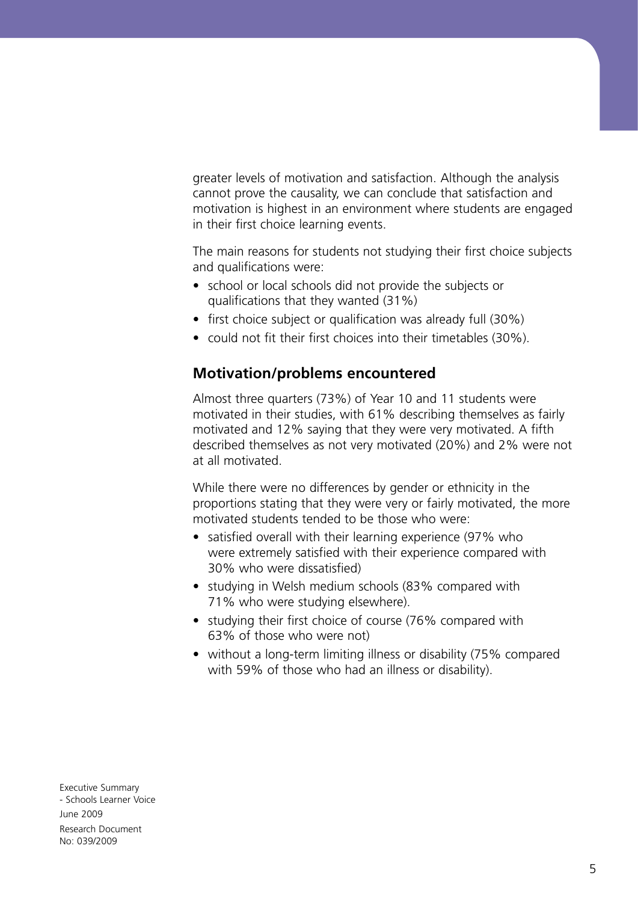greater levels of motivation and satisfaction. Although the analysis cannot prove the causality, we can conclude that satisfaction and motivation is highest in an environment where students are engaged in their first choice learning events.

The main reasons for students not studying their first choice subjects and qualifications were:

- school or local schools did not provide the subjects or qualifications that they wanted (31%)
- first choice subject or qualification was already full (30%)
- could not fit their first choices into their timetables (30%).

#### **Motivation/problems encountered**

Almost three quarters (73%) of Year 10 and 11 students were motivated in their studies, with 61% describing themselves as fairly motivated and 12% saying that they were very motivated. A fifth described themselves as not very motivated (20%) and 2% were not at all motivated.

While there were no differences by gender or ethnicity in the proportions stating that they were very or fairly motivated, the more motivated students tended to be those who were:

- satisfied overall with their learning experience (97% who were extremely satisfied with their experience compared with 30% who were dissatisfied)
- studying in Welsh medium schools (83% compared with 71% who were studying elsewhere).
- studying their first choice of course (76% compared with 63% of those who were not)
- without a long-term limiting illness or disability (75% compared with 59% of those who had an illness or disability).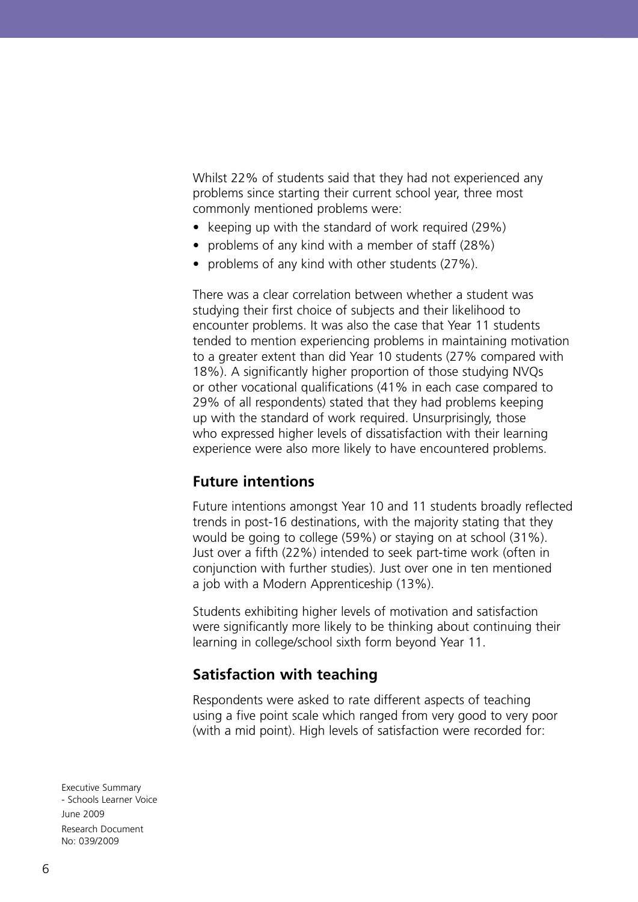Whilst 22% of students said that they had not experienced any problems since starting their current school year, three most commonly mentioned problems were:

- keeping up with the standard of work required (29%)
- problems of any kind with a member of staff (28%)
- problems of any kind with other students (27%).

There was a clear correlation between whether a student was studying their first choice of subjects and their likelihood to encounter problems. It was also the case that Year 11 students tended to mention experiencing problems in maintaining motivation to a greater extent than did Year 10 students (27% compared with 18%). A significantly higher proportion of those studying NVQs or other vocational qualifications (41% in each case compared to 29% of all respondents) stated that they had problems keeping up with the standard of work required. Unsurprisingly, those who expressed higher levels of dissatisfaction with their learning experience were also more likely to have encountered problems.

#### **Future intentions**

Future intentions amongst Year 10 and 11 students broadly reflected trends in post-16 destinations, with the majority stating that they would be going to college (59%) or staying on at school (31%). Just over a fifth (22%) intended to seek part-time work (often in conjunction with further studies). Just over one in ten mentioned a job with a Modern Apprenticeship (13%).

Students exhibiting higher levels of motivation and satisfaction were significantly more likely to be thinking about continuing their learning in college/school sixth form beyond Year 11.

#### **Satisfaction with teaching**

Respondents were asked to rate different aspects of teaching using a five point scale which ranged from very good to very poor (with a mid point). High levels of satisfaction were recorded for: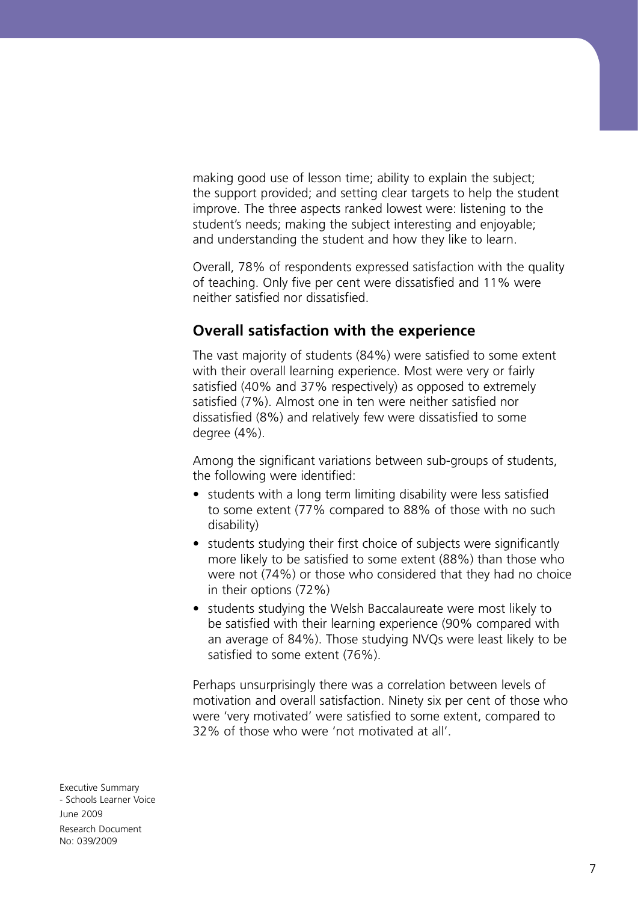making good use of lesson time; ability to explain the subject; the support provided; and setting clear targets to help the student improve. The three aspects ranked lowest were: listening to the student's needs; making the subject interesting and enjoyable; and understanding the student and how they like to learn.

Overall, 78% of respondents expressed satisfaction with the quality of teaching. Only five per cent were dissatisfied and 11% were neither satisfied nor dissatisfied.

#### **Overall satisfaction with the experience**

The vast majority of students (84%) were satisfied to some extent with their overall learning experience. Most were very or fairly satisfied (40% and 37% respectively) as opposed to extremely satisfied (7%). Almost one in ten were neither satisfied nor dissatisfied (8%) and relatively few were dissatisfied to some degree (4%).

Among the significant variations between sub-groups of students, the following were identified:

- students with a long term limiting disability were less satisfied to some extent (77% compared to 88% of those with no such disability)
- students studying their first choice of subjects were significantly more likely to be satisfied to some extent (88%) than those who were not (74%) or those who considered that they had no choice in their options (72%)
- students studying the Welsh Baccalaureate were most likely to be satisfied with their learning experience (90% compared with an average of 84%). Those studying NVQs were least likely to be satisfied to some extent (76%).

Perhaps unsurprisingly there was a correlation between levels of motivation and overall satisfaction. Ninety six per cent of those who were 'very motivated' were satisfied to some extent, compared to 32% of those who were 'not motivated at all'.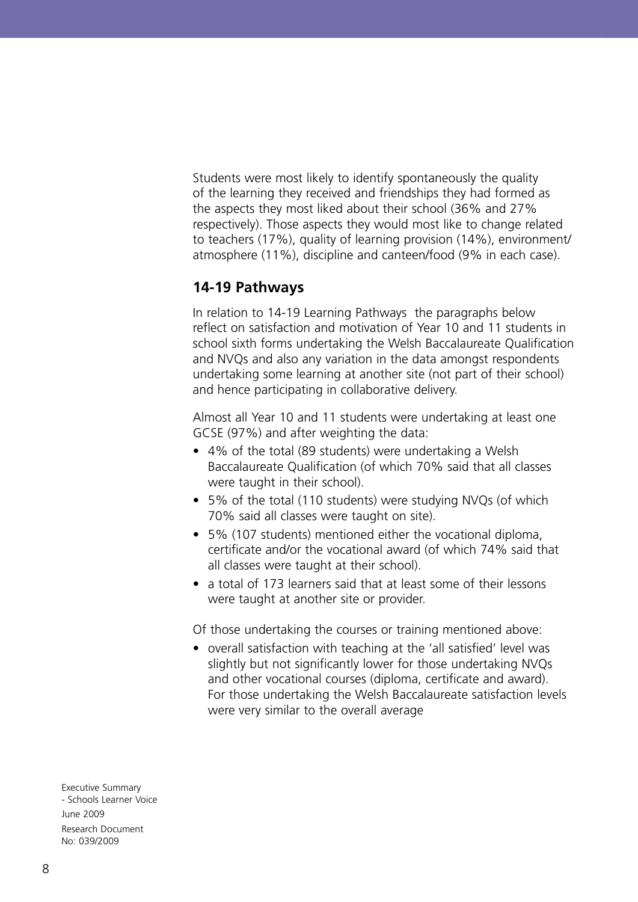Students were most likely to identify spontaneously the quality of the learning they received and friendships they had formed as the aspects they most liked about their school (36% and 27% respectively). Those aspects they would most like to change related to teachers (17%), quality of learning provision (14%), environment/ atmosphere (11%), discipline and canteen/food (9% in each case).

#### **14-19 Pathways**

In relation to 14-19 Learning Pathways the paragraphs below reflect on satisfaction and motivation of Year 10 and 11 students in school sixth forms undertaking the Welsh Baccalaureate Qualification and NVQs and also any variation in the data amongst respondents undertaking some learning at another site (not part of their school) and hence participating in collaborative delivery.

Almost all Year 10 and 11 students were undertaking at least one GCSE (97%) and after weighting the data:

- 4% of the total (89 students) were undertaking a Welsh Baccalaureate Qualification (of which 70% said that all classes were taught in their school).
- 5% of the total (110 students) were studying NVQs (of which 70% said all classes were taught on site).
- 5% (107 students) mentioned either the vocational diploma, certificate and/or the vocational award (of which 74% said that all classes were taught at their school).
- a total of 173 learners said that at least some of their lessons were taught at another site or provider.

Of those undertaking the courses or training mentioned above:

• overall satisfaction with teaching at the 'all satisfied' level was slightly but not significantly lower for those undertaking NVQs and other vocational courses (diploma, certificate and award). For those undertaking the Welsh Baccalaureate satisfaction levels were very similar to the overall average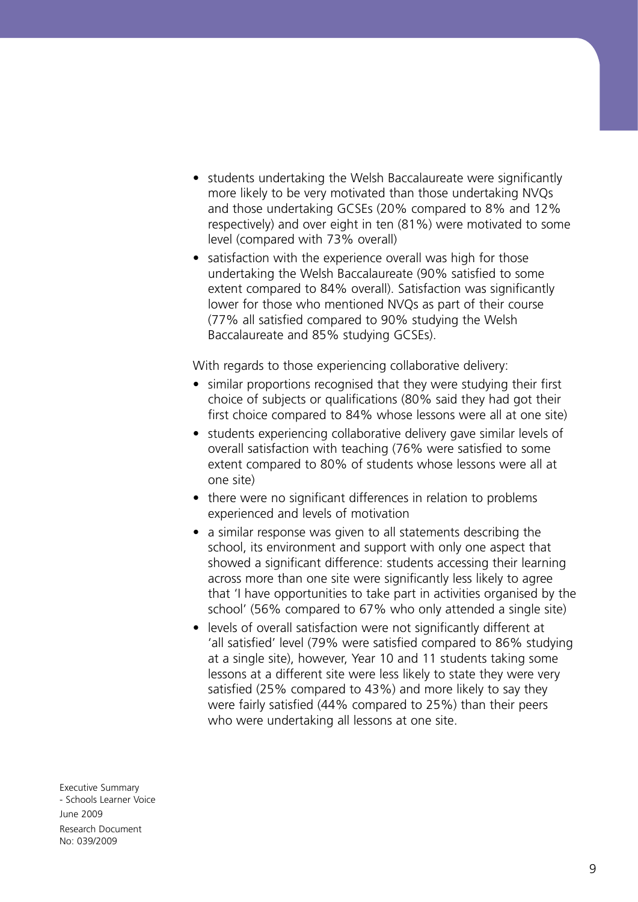- students undertaking the Welsh Baccalaureate were significantly more likely to be very motivated than those undertaking NVQs and those undertaking GCSEs (20% compared to 8% and 12% respectively) and over eight in ten (81%) were motivated to some level (compared with 73% overall)
- satisfaction with the experience overall was high for those undertaking the Welsh Baccalaureate (90% satisfied to some extent compared to 84% overall). Satisfaction was significantly lower for those who mentioned NVQs as part of their course (77% all satisfied compared to 90% studying the Welsh Baccalaureate and 85% studying GCSEs).

With regards to those experiencing collaborative delivery:

- similar proportions recognised that they were studying their first choice of subjects or qualifications (80% said they had got their first choice compared to 84% whose lessons were all at one site)
- students experiencing collaborative delivery gave similar levels of overall satisfaction with teaching (76% were satisfied to some extent compared to 80% of students whose lessons were all at one site)
- there were no significant differences in relation to problems experienced and levels of motivation
- a similar response was given to all statements describing the school, its environment and support with only one aspect that showed a significant difference: students accessing their learning across more than one site were significantly less likely to agree that 'I have opportunities to take part in activities organised by the school' (56% compared to 67% who only attended a single site)
- levels of overall satisfaction were not significantly different at 'all satisfied' level (79% were satisfied compared to 86% studying at a single site), however, Year 10 and 11 students taking some lessons at a different site were less likely to state they were very satisfied (25% compared to 43%) and more likely to say they were fairly satisfied (44% compared to 25%) than their peers who were undertaking all lessons at one site.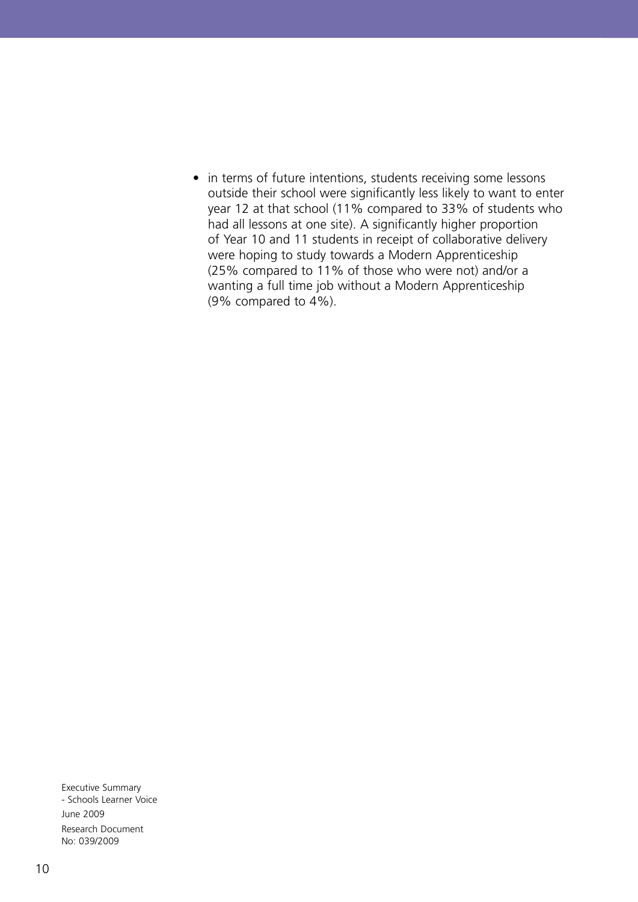• in terms of future intentions, students receiving some lessons outside their school were significantly less likely to want to enter year 12 at that school (11% compared to 33% of students who had all lessons at one site). A significantly higher proportion of Year 10 and 11 students in receipt of collaborative delivery were hoping to study towards a Modern Apprenticeship (25% compared to 11% of those who were not) and/or a wanting a full time job without a Modern Apprenticeship (9% compared to 4%).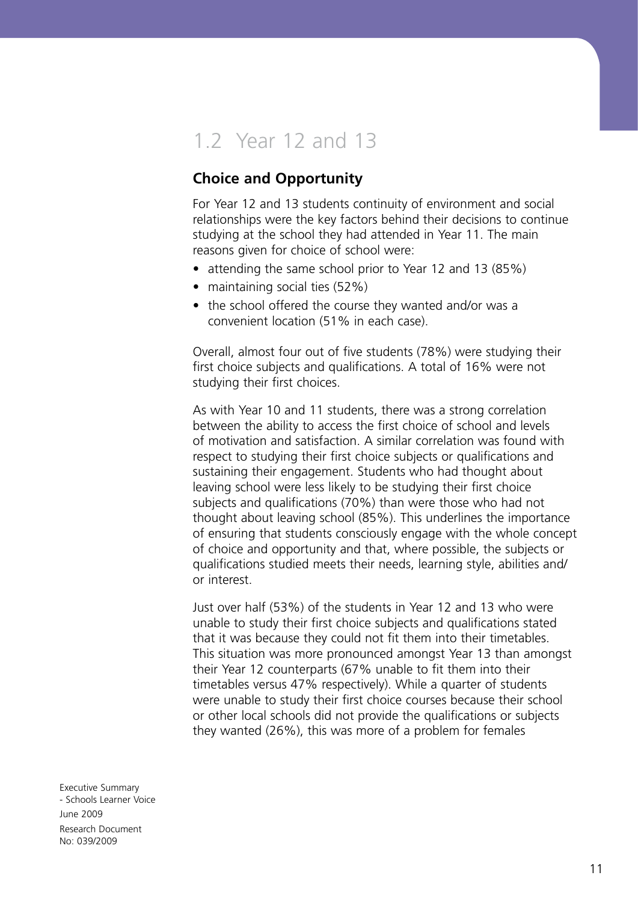## 1.2 Year 12 and 13

#### **Choice and Opportunity**

For Year 12 and 13 students continuity of environment and social relationships were the key factors behind their decisions to continue studying at the school they had attended in Year 11. The main reasons given for choice of school were:

- attending the same school prior to Year 12 and 13 (85%)
- maintaining social ties (52%)
- the school offered the course they wanted and/or was a convenient location (51% in each case).

Overall, almost four out of five students (78%) were studying their first choice subjects and qualifications. A total of 16% were not studying their first choices.

As with Year 10 and 11 students, there was a strong correlation between the ability to access the first choice of school and levels of motivation and satisfaction. A similar correlation was found with respect to studying their first choice subjects or qualifications and sustaining their engagement. Students who had thought about leaving school were less likely to be studying their first choice subjects and qualifications (70%) than were those who had not thought about leaving school (85%). This underlines the importance of ensuring that students consciously engage with the whole concept of choice and opportunity and that, where possible, the subjects or qualifications studied meets their needs, learning style, abilities and/ or interest.

Just over half (53%) of the students in Year 12 and 13 who were unable to study their first choice subjects and qualifications stated that it was because they could not fit them into their timetables. This situation was more pronounced amongst Year 13 than amongst their Year 12 counterparts (67% unable to fit them into their timetables versus 47% respectively). While a quarter of students were unable to study their first choice courses because their school or other local schools did not provide the qualifications or subjects they wanted (26%), this was more of a problem for females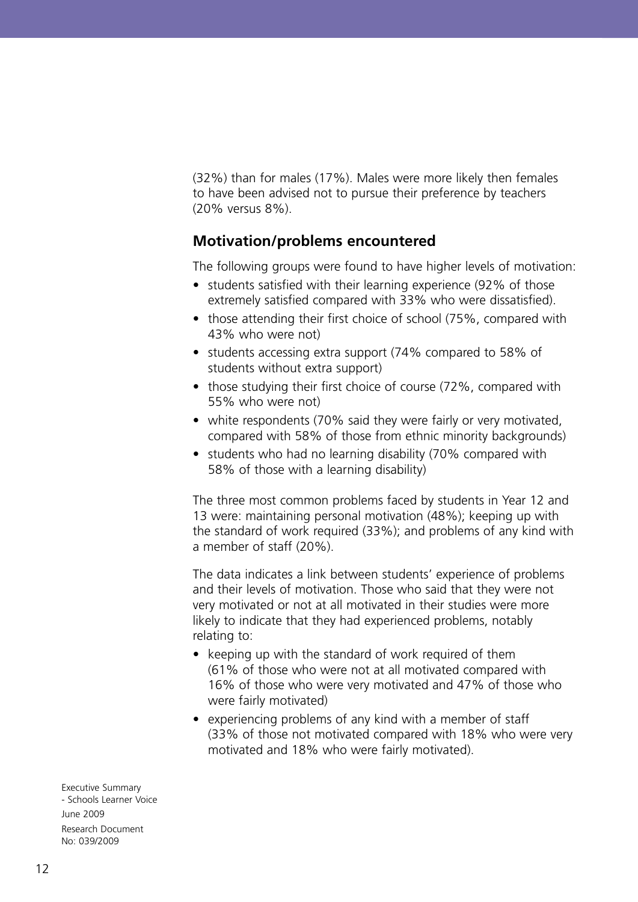(32%) than for males (17%). Males were more likely then females to have been advised not to pursue their preference by teachers (20% versus 8%).

#### **Motivation/problems encountered**

The following groups were found to have higher levels of motivation:

- students satisfied with their learning experience (92% of those extremely satisfied compared with 33% who were dissatisfied).
- those attending their first choice of school (75%, compared with 43% who were not)
- students accessing extra support (74% compared to 58% of students without extra support)
- those studying their first choice of course (72%, compared with 55% who were not)
- white respondents (70% said they were fairly or very motivated, compared with 58% of those from ethnic minority backgrounds)
- students who had no learning disability (70% compared with 58% of those with a learning disability)

The three most common problems faced by students in Year 12 and 13 were: maintaining personal motivation (48%); keeping up with the standard of work required (33%); and problems of any kind with a member of staff (20%).

The data indicates a link between students' experience of problems and their levels of motivation. Those who said that they were not very motivated or not at all motivated in their studies were more likely to indicate that they had experienced problems, notably relating to:

- keeping up with the standard of work required of them (61% of those who were not at all motivated compared with 16% of those who were very motivated and 47% of those who were fairly motivated)
- experiencing problems of any kind with a member of staff (33% of those not motivated compared with 18% who were very motivated and 18% who were fairly motivated).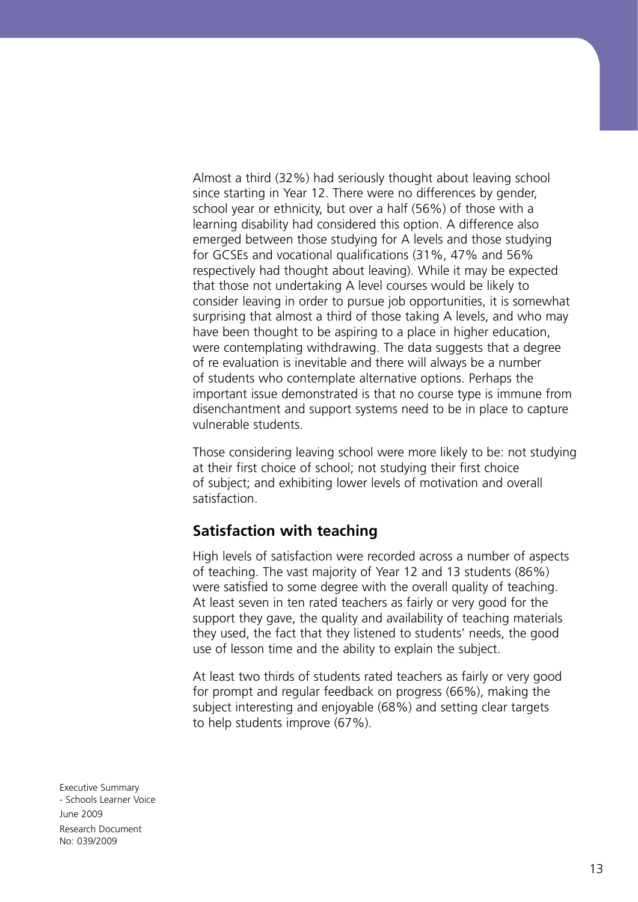Almost a third (32%) had seriously thought about leaving school since starting in Year 12. There were no differences by gender, school year or ethnicity, but over a half (56%) of those with a learning disability had considered this option. A difference also emerged between those studying for A levels and those studying for GCSEs and vocational qualifications (31%, 47% and 56% respectively had thought about leaving). While it may be expected that those not undertaking A level courses would be likely to consider leaving in order to pursue job opportunities, it is somewhat surprising that almost a third of those taking A levels, and who may have been thought to be aspiring to a place in higher education, were contemplating withdrawing. The data suggests that a degree of re evaluation is inevitable and there will always be a number of students who contemplate alternative options. Perhaps the important issue demonstrated is that no course type is immune from disenchantment and support systems need to be in place to capture vulnerable students.

Those considering leaving school were more likely to be: not studying at their first choice of school; not studying their first choice of subject; and exhibiting lower levels of motivation and overall satisfaction.

#### **Satisfaction with teaching**

High levels of satisfaction were recorded across a number of aspects of teaching. The vast majority of Year 12 and 13 students (86%) were satisfied to some degree with the overall quality of teaching. At least seven in ten rated teachers as fairly or very good for the support they gave, the quality and availability of teaching materials they used, the fact that they listened to students' needs, the good use of lesson time and the ability to explain the subject.

At least two thirds of students rated teachers as fairly or very good for prompt and regular feedback on progress (66%), making the subject interesting and enjoyable (68%) and setting clear targets to help students improve (67%).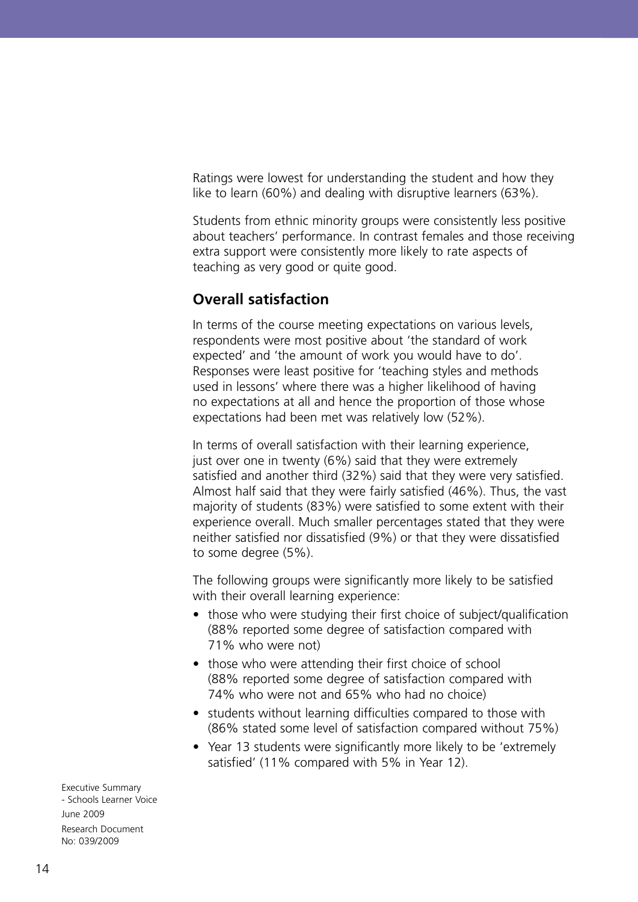Ratings were lowest for understanding the student and how they like to learn (60%) and dealing with disruptive learners (63%).

Students from ethnic minority groups were consistently less positive about teachers' performance. In contrast females and those receiving extra support were consistently more likely to rate aspects of teaching as very good or quite good.

#### **Overall satisfaction**

In terms of the course meeting expectations on various levels, respondents were most positive about 'the standard of work expected' and 'the amount of work you would have to do'. Responses were least positive for 'teaching styles and methods used in lessons' where there was a higher likelihood of having no expectations at all and hence the proportion of those whose expectations had been met was relatively low (52%).

In terms of overall satisfaction with their learning experience, just over one in twenty (6%) said that they were extremely satisfied and another third (32%) said that they were very satisfied. Almost half said that they were fairly satisfied (46%). Thus, the vast majority of students (83%) were satisfied to some extent with their experience overall. Much smaller percentages stated that they were neither satisfied nor dissatisfied (9%) or that they were dissatisfied to some degree (5%).

The following groups were significantly more likely to be satisfied with their overall learning experience:

- those who were studying their first choice of subject/qualification (88% reported some degree of satisfaction compared with 71% who were not)
- those who were attending their first choice of school (88% reported some degree of satisfaction compared with 74% who were not and 65% who had no choice)
- students without learning difficulties compared to those with (86% stated some level of satisfaction compared without 75%)
- Year 13 students were significantly more likely to be 'extremely satisfied' (11% compared with 5% in Year 12).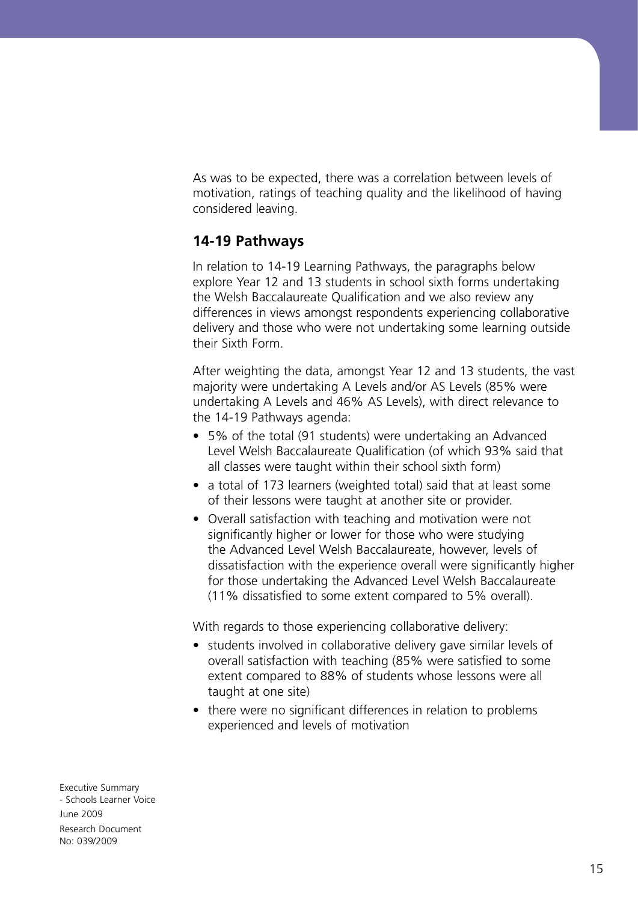As was to be expected, there was a correlation between levels of motivation, ratings of teaching quality and the likelihood of having considered leaving.

#### **14-19 Pathways**

In relation to 14-19 Learning Pathways, the paragraphs below explore Year 12 and 13 students in school sixth forms undertaking the Welsh Baccalaureate Qualification and we also review any differences in views amongst respondents experiencing collaborative delivery and those who were not undertaking some learning outside their Sixth Form.

After weighting the data, amongst Year 12 and 13 students, the vast majority were undertaking A Levels and/or AS Levels (85% were undertaking A Levels and 46% AS Levels), with direct relevance to the 14-19 Pathways agenda:

- 5% of the total (91 students) were undertaking an Advanced Level Welsh Baccalaureate Qualification (of which 93% said that all classes were taught within their school sixth form)
- a total of 173 learners (weighted total) said that at least some of their lessons were taught at another site or provider.
- Overall satisfaction with teaching and motivation were not significantly higher or lower for those who were studying the Advanced Level Welsh Baccalaureate, however, levels of dissatisfaction with the experience overall were significantly higher for those undertaking the Advanced Level Welsh Baccalaureate (11% dissatisfied to some extent compared to 5% overall).

With regards to those experiencing collaborative delivery:

- students involved in collaborative delivery gave similar levels of overall satisfaction with teaching (85% were satisfied to some extent compared to 88% of students whose lessons were all taught at one site)
- there were no significant differences in relation to problems experienced and levels of motivation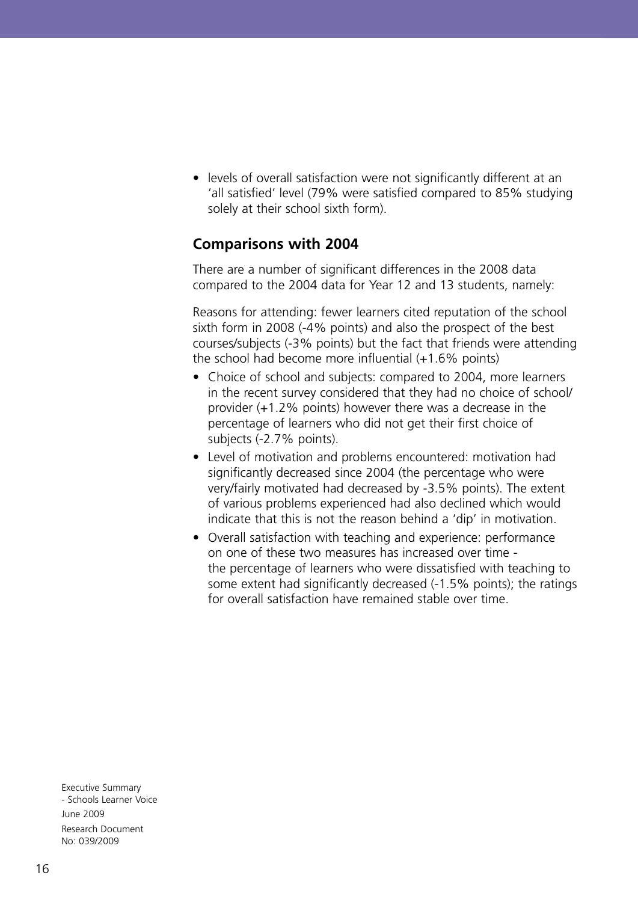• levels of overall satisfaction were not significantly different at an 'all satisfied' level (79% were satisfied compared to 85% studying solely at their school sixth form).

#### **Comparisons with 2004**

There are a number of significant differences in the 2008 data compared to the 2004 data for Year 12 and 13 students, namely:

Reasons for attending: fewer learners cited reputation of the school sixth form in 2008 (-4% points) and also the prospect of the best courses/subjects (-3% points) but the fact that friends were attending the school had become more influential (+1.6% points)

- Choice of school and subjects: compared to 2004, more learners in the recent survey considered that they had no choice of school/ provider (+1.2% points) however there was a decrease in the percentage of learners who did not get their first choice of subjects (-2.7% points).
- Level of motivation and problems encountered: motivation had significantly decreased since 2004 (the percentage who were very/fairly motivated had decreased by -3.5% points). The extent of various problems experienced had also declined which would indicate that this is not the reason behind a 'dip' in motivation.
- Overall satisfaction with teaching and experience: performance on one of these two measures has increased over time the percentage of learners who were dissatisfied with teaching to some extent had significantly decreased (-1.5% points); the ratings for overall satisfaction have remained stable over time.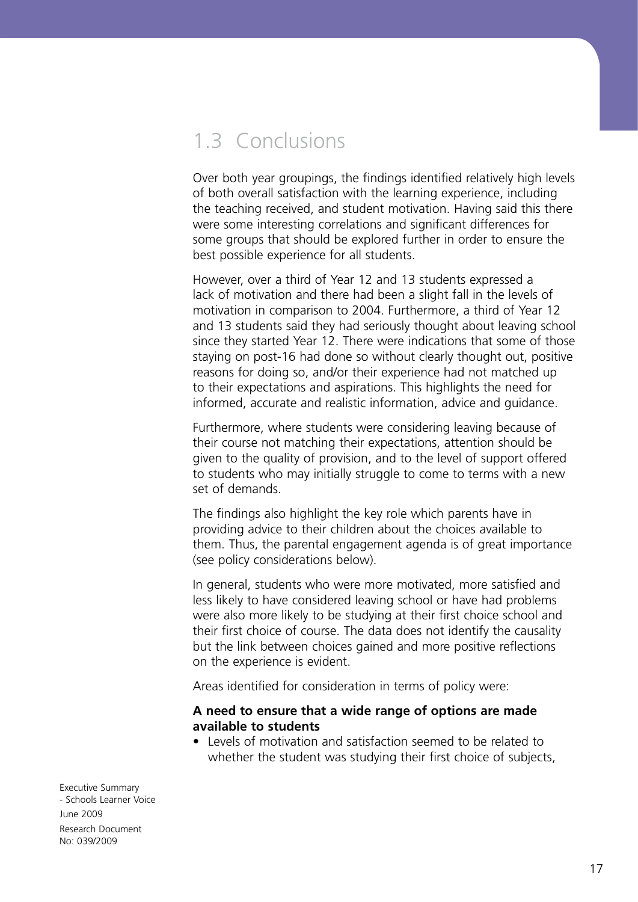## 1.3 Conclusions

Over both year groupings, the findings identified relatively high levels of both overall satisfaction with the learning experience, including the teaching received, and student motivation. Having said this there were some interesting correlations and significant differences for some groups that should be explored further in order to ensure the best possible experience for all students.

However, over a third of Year 12 and 13 students expressed a lack of motivation and there had been a slight fall in the levels of motivation in comparison to 2004. Furthermore, a third of Year 12 and 13 students said they had seriously thought about leaving school since they started Year 12. There were indications that some of those staying on post-16 had done so without clearly thought out, positive reasons for doing so, and/or their experience had not matched up to their expectations and aspirations. This highlights the need for informed, accurate and realistic information, advice and guidance.

Furthermore, where students were considering leaving because of their course not matching their expectations, attention should be given to the quality of provision, and to the level of support offered to students who may initially struggle to come to terms with a new set of demands.

The findings also highlight the key role which parents have in providing advice to their children about the choices available to them. Thus, the parental engagement agenda is of great importance (see policy considerations below).

In general, students who were more motivated, more satisfied and less likely to have considered leaving school or have had problems were also more likely to be studying at their first choice school and their first choice of course. The data does not identify the causality but the link between choices gained and more positive reflections on the experience is evident.

Areas identified for consideration in terms of policy were:

#### **A need to ensure that a wide range of options are made available to students**

• Levels of motivation and satisfaction seemed to be related to whether the student was studying their first choice of subjects,